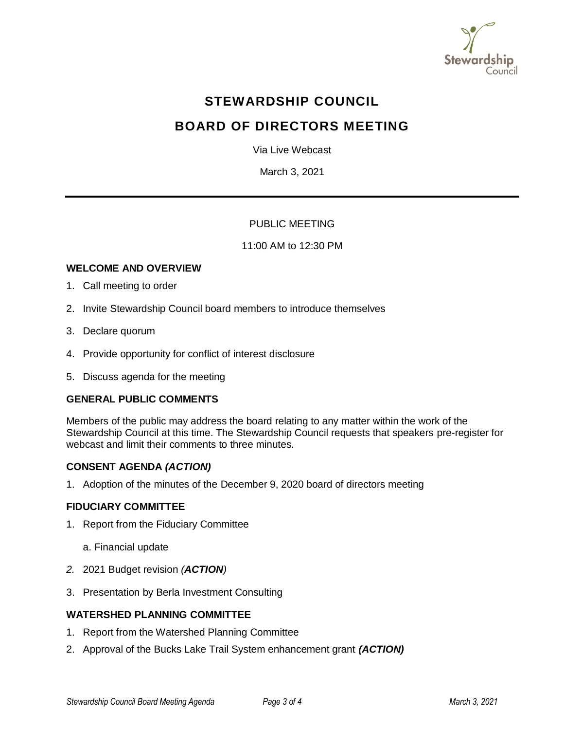

# **STEWARDSHIP COUNCIL**

# **BOARD OF DIRECTORS MEETING**

Via Live Webcast

March 3, 2021

# PUBLIC MEETING

## 11:00 AM to 12:30 PM

## **WELCOME AND OVERVIEW**

- 1. Call meeting to order
- 2. Invite Stewardship Council board members to introduce themselves
- 3. Declare quorum
- 4. Provide opportunity for conflict of interest disclosure
- 5. Discuss agenda for the meeting

## **GENERAL PUBLIC COMMENTS**

Members of the public may address the board relating to any matter within the work of the Stewardship Council at this time. The Stewardship Council requests that speakers pre-register for webcast and limit their comments to three minutes.

#### **CONSENT AGENDA** *(ACTION)*

1. Adoption of the minutes of the December 9, 2020 board of directors meeting

#### **FIDUCIARY COMMITTEE**

- 1. Report from the Fiduciary Committee
	- a. Financial update
- *2.* 2021 Budget revision *(ACTION)*
- 3. Presentation by Berla Investment Consulting

## **WATERSHED PLANNING COMMITTEE**

- 1. Report from the Watershed Planning Committee
- 2. Approval of the Bucks Lake Trail System enhancement grant *(ACTION)*